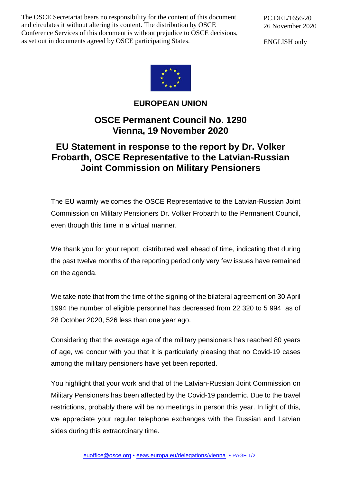The OSCE Secretariat bears no responsibility for the content of this document and circulates it without altering its content. The distribution by OSCE Conference Services of this document is without prejudice to OSCE decisions, as set out in documents agreed by OSCE participating States.

PC.DEL/1656/20 26 November 2020

ENGLISH only



**EUROPEAN UNION**

## **OSCE Permanent Council No. 1290 Vienna, 19 November 2020**

## **EU Statement in response to the report by Dr. Volker Frobarth, OSCE Representative to the Latvian-Russian Joint Commission on Military Pensioners**

The EU warmly welcomes the OSCE Representative to the Latvian-Russian Joint Commission on Military Pensioners Dr. Volker Frobarth to the Permanent Council, even though this time in a virtual manner.

We thank you for your report, distributed well ahead of time, indicating that during the past twelve months of the reporting period only very few issues have remained on the agenda.

We take note that from the time of the signing of the bilateral agreement on 30 April 1994 the number of eligible personnel has decreased from 22 320 to 5 994 as of 28 October 2020, 526 less than one year ago.

Considering that the average age of the military pensioners has reached 80 years of age, we concur with you that it is particularly pleasing that no Covid-19 cases among the military pensioners have yet been reported.

You highlight that your work and that of the Latvian-Russian Joint Commission on Military Pensioners has been affected by the Covid-19 pandemic. Due to the travel restrictions, probably there will be no meetings in person this year. In light of this, we appreciate your regular telephone exchanges with the Russian and Latvian sides during this extraordinary time.